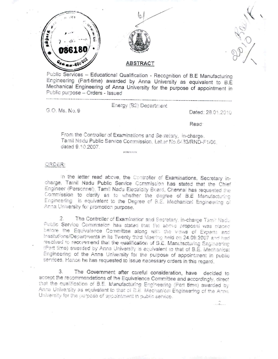





## **ABSTRACT**

Public Services - Educational Qualification - Recognition of B.E Manufacturing Engineering (Part-time) awarded by Anna University as equivalent to B.E. Mechanical Engineering of Anna University for the purpose of appointment in Public purpose - Orders - Issued

G.O. Ms. No. 9

Energy (B2) Department

Dated: 28.01.2010

Read:

From the Controller of Examinations and Secretary, in-charge. Tamil Nadu Public Service Commission, Let ar No.6433/RND-F1/06, dated 9.10.2007.

erient erstatte

ORDER:

In the letter read above, the Controller of Examinations, Secretary incharge, Tamil Nadu Public Service Commission has stated that the Chief Engineer (Personnel), Tamil Nadu Electricity Board, Chennal has requested the Commission to clarify as to whether the degree of B.E Manufacturing Engineering is equivalent to the Degree of B.E. Mechanical Engineering of Anna University for promotion purpose.

The Controller of Examination and Secretary, in-charge Tamil Nadu 2. Public Service Commission has stated that the above proposal was blaced before the Equivalence Committee along with the views of Experts and Institutions/Departments in its Twenty third Meering held on 24.09.2007 and had resolved to recommend that the qualification of B.E. Manchacturing Engineering (Part time) awarded by Anna University is equivalent to that of B.E. Mechanical Engineering of the Anna University for the purpose of appointment in public services. Hence he has requested to issue necessary orders in this regard.

The Government after careful consideration, have decided to  $3.$ accept the recommendations of the Equivalence Committee and accordingly, direct that the qualification of B.E. Manufacturing Engineering (Part time) awarded by Anna University as equivalent to that of B.E. Mechanical Engineering of the Anna University for the purpose of appointment in public service.

 $\ldots$  .  $\ldots$